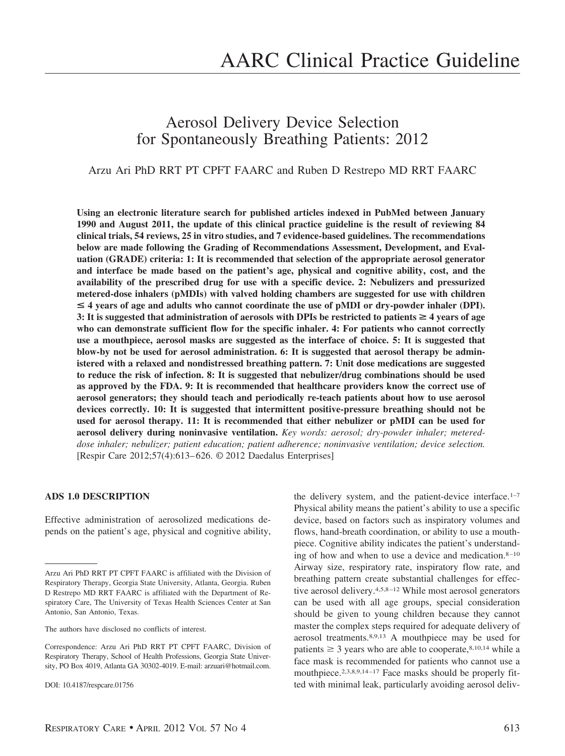# Aerosol Delivery Device Selection for Spontaneously Breathing Patients: 2012

# Arzu Ari PhD RRT PT CPFT FAARC and Ruben D Restrepo MD RRT FAARC

**Using an electronic literature search for published articles indexed in PubMed between January 1990 and August 2011, the update of this clinical practice guideline is the result of reviewing 84 clinical trials, 54 reviews, 25 in vitro studies, and 7 evidence-based guidelines. The recommendations below are made following the Grading of Recommendations Assessment, Development, and Evaluation (GRADE) criteria: 1: It is recommended that selection of the appropriate aerosol generator and interface be made based on the patient's age, physical and cognitive ability, cost, and the availability of the prescribed drug for use with a specific device. 2: Nebulizers and pressurized metered-dose inhalers (pMDIs) with valved holding chambers are suggested for use with children**  $\leq$  4 years of age and adults who cannot coordinate the use of pMDI or dry-powder inhaler (DPI). **3:** It is suggested that administration of aerosols with DPIs be restricted to patients  $\geq 4$  years of age **who can demonstrate sufficient flow for the specific inhaler. 4: For patients who cannot correctly use a mouthpiece, aerosol masks are suggested as the interface of choice. 5: It is suggested that blow-by not be used for aerosol administration. 6: It is suggested that aerosol therapy be administered with a relaxed and nondistressed breathing pattern. 7: Unit dose medications are suggested to reduce the risk of infection. 8: It is suggested that nebulizer/drug combinations should be used as approved by the FDA. 9: It is recommended that healthcare providers know the correct use of aerosol generators; they should teach and periodically re-teach patients about how to use aerosol devices correctly. 10: It is suggested that intermittent positive-pressure breathing should not be used for aerosol therapy. 11: It is recommended that either nebulizer or pMDI can be used for aerosol delivery during noninvasive ventilation.** *Key words: aerosol; dry-powder inhaler; metereddose inhaler; nebulizer; patient education; patient adherence; noninvasive ventilation; device selection.* [Respir Care 2012;57(4):613– 626. © 2012 Daedalus Enterprises]

#### **ADS 1.0 DESCRIPTION**

Effective administration of aerosolized medications depends on the patient's age, physical and cognitive ability, the delivery system, and the patient-device interface.<sup>1-7</sup> Physical ability means the patient's ability to use a specific device, based on factors such as inspiratory volumes and flows, hand-breath coordination, or ability to use a mouthpiece. Cognitive ability indicates the patient's understanding of how and when to use a device and medication. $8-10$ Airway size, respiratory rate, inspiratory flow rate, and breathing pattern create substantial challenges for effective aerosol delivery.<sup>4,5,8-12</sup> While most aerosol generators can be used with all age groups, special consideration should be given to young children because they cannot master the complex steps required for adequate delivery of aerosol treatments.8,9,13 A mouthpiece may be used for patients  $\geq$  3 years who are able to cooperate,<sup>8,10,14</sup> while a face mask is recommended for patients who cannot use a mouthpiece.<sup>2,3,8,9,14-17</sup> Face masks should be properly fitted with minimal leak, particularly avoiding aerosol deliv-

Arzu Ari PhD RRT PT CPFT FAARC is affiliated with the Division of Respiratory Therapy, Georgia State University, Atlanta, Georgia. Ruben D Restrepo MD RRT FAARC is affiliated with the Department of Respiratory Care, The University of Texas Health Sciences Center at San Antonio, San Antonio, Texas.

The authors have disclosed no conflicts of interest.

Correspondence: Arzu Ari PhD RRT PT CPFT FAARC, Division of Respiratory Therapy, School of Health Professions, Georgia State University, PO Box 4019, Atlanta GA 30302-4019. E-mail: arzuari@hotmail.com.

DOI: 10.4187/respcare.01756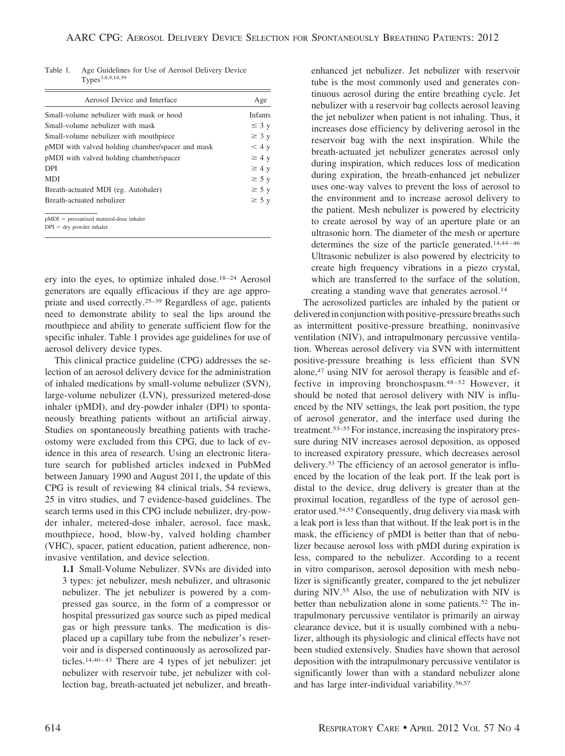Table 1. Age Guidelines for Use of Aerosol Delivery Device Types<sup>3,8,9,14,39</sup>

| Aerosol Device and Interface                     | Age            |
|--------------------------------------------------|----------------|
| Small-volume nebulizer with mask or hood         | <b>Infants</b> |
| Small-volume nebulizer with mask                 | $\leq$ 3 y     |
| Small-volume nebulizer with mouthpiece           | $\geq$ 3 y     |
| pMDI with valved holding chamber/spacer and mask | $<$ 4 y        |
| pMDI with valved holding chamber/spacer          | $\geq 4$ y     |
| <b>DPI</b>                                       | $\geq 4$ y     |
| <b>MDI</b>                                       | $\geq$ 5 y     |
| Breath-actuated MDI (eg. Autohaler)              | $\geq 5$ y     |
| Breath-actuated nebulizer                        | $\geq 5$ y     |
|                                                  |                |
| $pMDI$ = pressurized metered-dose inhaler        |                |
| $DPI = dry$ powder inhaler                       |                |

ery into the eyes, to optimize inhaled dose.<sup>18-24</sup> Aerosol generators are equally efficacious if they are age appropriate and used correctly.25–39 Regardless of age, patients need to demonstrate ability to seal the lips around the mouthpiece and ability to generate sufficient flow for the specific inhaler. Table 1 provides age guidelines for use of aerosol delivery device types.

This clinical practice guideline (CPG) addresses the selection of an aerosol delivery device for the administration of inhaled medications by small-volume nebulizer (SVN), large-volume nebulizer (LVN), pressurized metered-dose inhaler (pMDI), and dry-powder inhaler (DPI) to spontaneously breathing patients without an artificial airway. Studies on spontaneously breathing patients with tracheostomy were excluded from this CPG, due to lack of evidence in this area of research. Using an electronic literature search for published articles indexed in PubMed between January 1990 and August 2011, the update of this CPG is result of reviewing 84 clinical trials, 54 reviews, 25 in vitro studies, and 7 evidence-based guidelines. The search terms used in this CPG include nebulizer, dry-powder inhaler, metered-dose inhaler, aerosol, face mask, mouthpiece, hood, blow-by, valved holding chamber (VHC), spacer, patient education, patient adherence, noninvasive ventilation, and device selection.

**1.1** Small-Volume Nebulizer. SVNs are divided into 3 types: jet nebulizer, mesh nebulizer, and ultrasonic nebulizer. The jet nebulizer is powered by a compressed gas source, in the form of a compressor or hospital pressurized gas source such as piped medical gas or high pressure tanks. The medication is displaced up a capillary tube from the nebulizer's reservoir and is dispersed continuously as aerosolized particles.<sup>14,40-43</sup> There are 4 types of jet nebulizer: jet nebulizer with reservoir tube, jet nebulizer with collection bag, breath-actuated jet nebulizer, and breathenhanced jet nebulizer. Jet nebulizer with reservoir tube is the most commonly used and generates continuous aerosol during the entire breathing cycle. Jet nebulizer with a reservoir bag collects aerosol leaving the jet nebulizer when patient is not inhaling. Thus, it increases dose efficiency by delivering aerosol in the reservoir bag with the next inspiration. While the breath-actuated jet nebulizer generates aerosol only during inspiration, which reduces loss of medication during expiration, the breath-enhanced jet nebulizer uses one-way valves to prevent the loss of aerosol to the environment and to increase aerosol delivery to the patient. Mesh nebulizer is powered by electricity to create aerosol by way of an aperture plate or an ultrasonic horn. The diameter of the mesh or aperture determines the size of the particle generated.<sup>14,44-46</sup> Ultrasonic nebulizer is also powered by electricity to create high frequency vibrations in a piezo crystal, which are transferred to the surface of the solution, creating a standing wave that generates aerosol.<sup>14</sup>

The aerosolized particles are inhaled by the patient or delivered in conjunction with positive-pressure breaths such as intermittent positive-pressure breathing, noninvasive ventilation (NIV), and intrapulmonary percussive ventilation. Whereas aerosol delivery via SVN with intermittent positive-pressure breathing is less efficient than SVN alone,47 using NIV for aerosol therapy is feasible and effective in improving bronchospasm.48 –52 However, it should be noted that aerosol delivery with NIV is influenced by the NIV settings, the leak port position, the type of aerosol generator, and the interface used during the treatment.53–55 For instance, increasing the inspiratory pressure during NIV increases aerosol deposition, as opposed to increased expiratory pressure, which decreases aerosol delivery.53 The efficiency of an aerosol generator is influenced by the location of the leak port. If the leak port is distal to the device, drug delivery is greater than at the proximal location, regardless of the type of aerosol generator used.54,55 Consequently, drug delivery via mask with a leak port is less than that without. If the leak port is in the mask, the efficiency of pMDI is better than that of nebulizer because aerosol loss with pMDI during expiration is less, compared to the nebulizer. According to a recent in vitro comparison, aerosol deposition with mesh nebulizer is significantly greater, compared to the jet nebulizer during NIV.55 Also, the use of nebulization with NIV is better than nebulization alone in some patients.52 The intrapulmonary percussive ventilator is primarily an airway clearance device, but it is usually combined with a nebulizer, although its physiologic and clinical effects have not been studied extensively. Studies have shown that aerosol deposition with the intrapulmonary percussive ventilator is significantly lower than with a standard nebulizer alone and has large inter-individual variability.56,57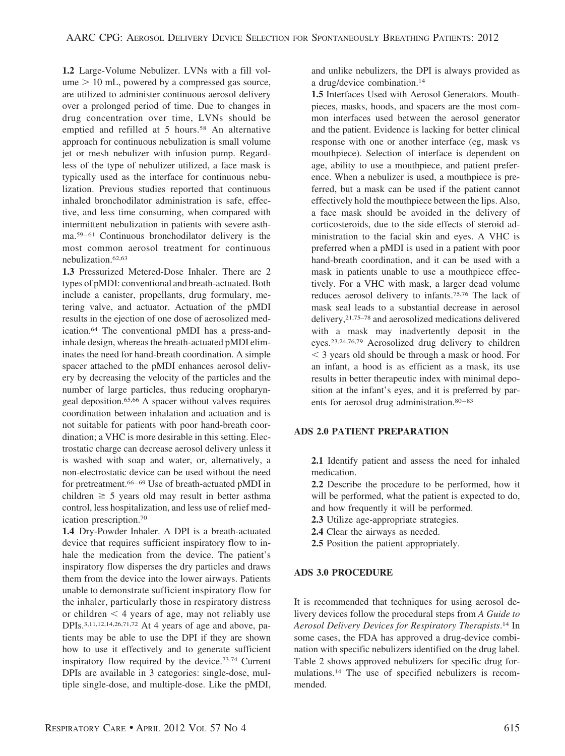**1.2** Large-Volume Nebulizer. LVNs with a fill vol $u$ me  $> 10$  mL, powered by a compressed gas source, are utilized to administer continuous aerosol delivery over a prolonged period of time. Due to changes in drug concentration over time, LVNs should be emptied and refilled at 5 hours.<sup>58</sup> An alternative approach for continuous nebulization is small volume jet or mesh nebulizer with infusion pump. Regardless of the type of nebulizer utilized, a face mask is typically used as the interface for continuous nebulization. Previous studies reported that continuous inhaled bronchodilator administration is safe, effective, and less time consuming, when compared with intermittent nebulization in patients with severe asthma.<sup>59-61</sup> Continuous bronchodilator delivery is the most common aerosol treatment for continuous nebulization.62,63

**1.3** Pressurized Metered-Dose Inhaler. There are 2 types of pMDI: conventional and breath-actuated. Both include a canister, propellants, drug formulary, metering valve, and actuator. Actuation of the pMDI results in the ejection of one dose of aerosolized medication.64 The conventional pMDI has a press-andinhale design, whereas the breath-actuated pMDI eliminates the need for hand-breath coordination. A simple spacer attached to the pMDI enhances aerosol delivery by decreasing the velocity of the particles and the number of large particles, thus reducing oropharyngeal deposition.65,66 A spacer without valves requires coordination between inhalation and actuation and is not suitable for patients with poor hand-breath coordination; a VHC is more desirable in this setting. Electrostatic charge can decrease aerosol delivery unless it is washed with soap and water, or, alternatively, a non-electrostatic device can be used without the need for pretreatment.<sup>66-69</sup> Use of breath-actuated pMDI in children  $\geq$  5 years old may result in better asthma control, less hospitalization, and less use of relief medication prescription.70

**1.4** Dry-Powder Inhaler. A DPI is a breath-actuated device that requires sufficient inspiratory flow to inhale the medication from the device. The patient's inspiratory flow disperses the dry particles and draws them from the device into the lower airways. Patients unable to demonstrate sufficient inspiratory flow for the inhaler, particularly those in respiratory distress or children  $\leq 4$  years of age, may not reliably use DPIs.3,11,12,14,26,71,72 At 4 years of age and above, patients may be able to use the DPI if they are shown how to use it effectively and to generate sufficient inspiratory flow required by the device.73,74 Current DPIs are available in 3 categories: single-dose, multiple single-dose, and multiple-dose. Like the pMDI,

and unlike nebulizers, the DPI is always provided as a drug/device combination.14

**1.5** Interfaces Used with Aerosol Generators. Mouthpieces, masks, hoods, and spacers are the most common interfaces used between the aerosol generator and the patient. Evidence is lacking for better clinical response with one or another interface (eg, mask vs mouthpiece). Selection of interface is dependent on age, ability to use a mouthpiece, and patient preference. When a nebulizer is used, a mouthpiece is preferred, but a mask can be used if the patient cannot effectively hold the mouthpiece between the lips. Also, a face mask should be avoided in the delivery of corticosteroids, due to the side effects of steroid administration to the facial skin and eyes. A VHC is preferred when a pMDI is used in a patient with poor hand-breath coordination, and it can be used with a mask in patients unable to use a mouthpiece effectively. For a VHC with mask, a larger dead volume reduces aerosol delivery to infants.75,76 The lack of mask seal leads to a substantial decrease in aerosol delivery,21,75–78 and aerosolized medications delivered with a mask may inadvertently deposit in the eyes.23,24,76,79 Aerosolized drug delivery to children  $<$  3 years old should be through a mask or hood. For an infant, a hood is as efficient as a mask, its use results in better therapeutic index with minimal deposition at the infant's eyes, and it is preferred by parents for aerosol drug administration.<sup>80-83</sup>

#### **ADS 2.0 PATIENT PREPARATION**

**2.1** Identify patient and assess the need for inhaled medication.

**2.2** Describe the procedure to be performed, how it will be performed, what the patient is expected to do, and how frequently it will be performed.

- **2.3** Utilize age-appropriate strategies.
- **2.4** Clear the airways as needed.
- **2.5** Position the patient appropriately.

### **ADS 3.0 PROCEDURE**

It is recommended that techniques for using aerosol delivery devices follow the procedural steps from *A Guide to Aerosol Delivery Devices for Respiratory Therapists*. <sup>14</sup> In some cases, the FDA has approved a drug-device combination with specific nebulizers identified on the drug label. Table 2 shows approved nebulizers for specific drug formulations.14 The use of specified nebulizers is recommended.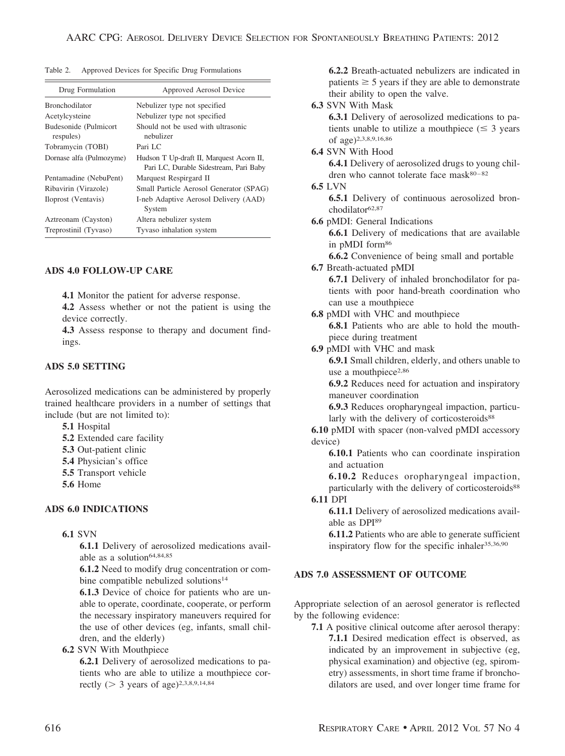Table 2. Approved Devices for Specific Drug Formulations

| Drug Formulation                   | Approved Aerosol Device                                                            |
|------------------------------------|------------------------------------------------------------------------------------|
| <b>Bronchodilator</b>              | Nebulizer type not specified                                                       |
| Acetylcysteine                     | Nebulizer type not specified                                                       |
| Budesonide (Pulmicort<br>respules) | Should not be used with ultrasonic<br>nebulizer                                    |
| Tobramycin (TOBI)                  | Pari $LC$                                                                          |
| Dornase alfa (Pulmozyme)           | Hudson T Up-draft II, Marquest Acorn II,<br>Pari LC, Durable Sidestream, Pari Baby |
| Pentamadine (NebuPent)             | Marquest Respirgard II                                                             |
| Ribavirin (Virazole)               | Small Particle Aerosol Generator (SPAG)                                            |
| Iloprost (Ventavis)                | I-neb Adaptive Aerosol Delivery (AAD)<br>System                                    |
| Aztreonam (Cayston)                | Altera nebulizer system                                                            |
| Treprostinil (Tyvaso)              | Tyvaso inhalation system                                                           |

#### **ADS 4.0 FOLLOW-UP CARE**

**4.1** Monitor the patient for adverse response.

**4.2** Assess whether or not the patient is using the device correctly.

**4.3** Assess response to therapy and document findings.

#### **ADS 5.0 SETTING**

Aerosolized medications can be administered by properly trained healthcare providers in a number of settings that include (but are not limited to):

**5.1** Hospital

- **5.2** Extended care facility
- **5.3** Out-patient clinic
- **5.4** Physician's office
- **5.5** Transport vehicle
- **5.6** Home

#### **ADS 6.0 INDICATIONS**

#### **6.1** SVN

**6.1.1** Delivery of aerosolized medications available as a solution<sup>64,84,85</sup>

**6.1.2** Need to modify drug concentration or combine compatible nebulized solutions<sup>14</sup>

**6.1.3** Device of choice for patients who are unable to operate, coordinate, cooperate, or perform the necessary inspiratory maneuvers required for the use of other devices (eg, infants, small children, and the elderly)

**6.2** SVN With Mouthpiece

**6.2.1** Delivery of aerosolized medications to patients who are able to utilize a mouthpiece correctly ( $> 3$  years of age)<sup>2,3,8,9,14,84</sup>

**6.2.2** Breath-actuated nebulizers are indicated in patients  $\geq$  5 years if they are able to demonstrate their ability to open the valve.

#### **6.3** SVN With Mask

**6.3.1** Delivery of aerosolized medications to patients unable to utilize a mouthpiece  $(\leq 3)$  years of age)2,3,8,9,16,86

**6.4** SVN With Hood

**6.4.1** Delivery of aerosolized drugs to young children who cannot tolerate face  $mask^{80-82}$ 

#### **6.5** LVN

**6.5.1** Delivery of continuous aerosolized bronchodilator<sup>62,87</sup>

**6.6** pMDI: General Indications

**6.6.1** Delivery of medications that are available in pMDI form86

**6.6.2** Convenience of being small and portable **6.7** Breath-actuated pMDI

- **6.7.1** Delivery of inhaled bronchodilator for patients with poor hand-breath coordination who can use a mouthpiece
- **6.8** pMDI with VHC and mouthpiece

**6.8.1** Patients who are able to hold the mouthpiece during treatment

**6.9** pMDI with VHC and mask

**6.9.1** Small children, elderly, and others unable to use a mouthpiece<sup>2,86</sup>

**6.9.2** Reduces need for actuation and inspiratory maneuver coordination

**6.9.3** Reduces oropharyngeal impaction, particularly with the delivery of corticosteroids<sup>88</sup>

**6.10** pMDI with spacer (non-valved pMDI accessory device)

**6.10.1** Patients who can coordinate inspiration and actuation

**6.10.2** Reduces oropharyngeal impaction, particularly with the delivery of corticosteroids<sup>88</sup>

# **6.11** DPI

**6.11.1** Delivery of aerosolized medications available as DPI89

**6.11.2** Patients who are able to generate sufficient inspiratory flow for the specific inhaler<sup>35,36,90</sup>

### **ADS 7.0 ASSESSMENT OF OUTCOME**

Appropriate selection of an aerosol generator is reflected by the following evidence:

**7.1** A positive clinical outcome after aerosol therapy: **7.1.1** Desired medication effect is observed, as indicated by an improvement in subjective (eg, physical examination) and objective (eg, spirometry) assessments, in short time frame if bronchodilators are used, and over longer time frame for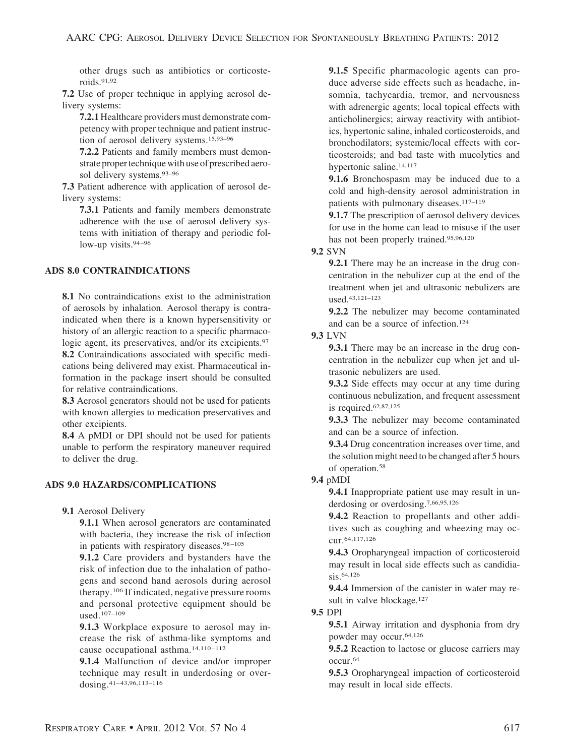other drugs such as antibiotics or corticosteroids.91,92

**7.2** Use of proper technique in applying aerosol delivery systems:

**7.2.1** Healthcare providers must demonstrate competency with proper technique and patient instruction of aerosol delivery systems.15,93–96

**7.2.2** Patients and family members must demonstrate proper technique with use of prescribed aerosol delivery systems.93–96

**7.3** Patient adherence with application of aerosol delivery systems:

**7.3.1** Patients and family members demonstrate adherence with the use of aerosol delivery systems with initiation of therapy and periodic follow-up visits.<sup>94-96</sup>

# **ADS 8.0 CONTRAINDICATIONS**

**8.1** No contraindications exist to the administration of aerosols by inhalation. Aerosol therapy is contraindicated when there is a known hypersensitivity or history of an allergic reaction to a specific pharmacologic agent, its preservatives, and/or its excipients.<sup>97</sup> **8.2** Contraindications associated with specific medications being delivered may exist. Pharmaceutical information in the package insert should be consulted for relative contraindications.

**8.3** Aerosol generators should not be used for patients with known allergies to medication preservatives and other excipients.

**8.4** A pMDI or DPI should not be used for patients unable to perform the respiratory maneuver required to deliver the drug.

# **ADS 9.0 HAZARDS/COMPLICATIONS**

**9.1** Aerosol Delivery

**9.1.1** When aerosol generators are contaminated with bacteria, they increase the risk of infection in patients with respiratory diseases.<sup>98-105</sup>

**9.1.2** Care providers and bystanders have the risk of infection due to the inhalation of pathogens and second hand aerosols during aerosol therapy.106 If indicated, negative pressure rooms and personal protective equipment should be used.107–109

**9.1.3** Workplace exposure to aerosol may increase the risk of asthma-like symptoms and cause occupational asthma.<sup>14,110-112</sup>

**9.1.4** Malfunction of device and/or improper technique may result in underdosing or overdosing.<sup>41-43,96,113-116</sup>

**9.1.5** Specific pharmacologic agents can produce adverse side effects such as headache, insomnia, tachycardia, tremor, and nervousness with adrenergic agents; local topical effects with anticholinergics; airway reactivity with antibiotics, hypertonic saline, inhaled corticosteroids, and bronchodilators; systemic/local effects with corticosteroids; and bad taste with mucolytics and hypertonic saline.14,117

**9.1.6** Bronchospasm may be induced due to a cold and high-density aerosol administration in patients with pulmonary diseases.<sup>117-119</sup>

**9.1.7** The prescription of aerosol delivery devices for use in the home can lead to misuse if the user has not been properly trained.95,96,120

**9.2** SVN

**9.2.1** There may be an increase in the drug concentration in the nebulizer cup at the end of the treatment when jet and ultrasonic nebulizers are used.43,121–123

**9.2.2** The nebulizer may become contaminated and can be a source of infection.124

#### **9.3** LVN

**9.3.1** There may be an increase in the drug concentration in the nebulizer cup when jet and ultrasonic nebulizers are used.

**9.3.2** Side effects may occur at any time during continuous nebulization, and frequent assessment is required.62,87,125

**9.3.3** The nebulizer may become contaminated and can be a source of infection.

**9.3.4** Drug concentration increases over time, and the solution might need to be changed after 5 hours of operation.58

#### **9.4** pMDI

**9.4.1** Inappropriate patient use may result in underdosing or overdosing.7,66,95,126

**9.4.2** Reaction to propellants and other additives such as coughing and wheezing may occur.64,117,126

**9.4.3** Oropharyngeal impaction of corticosteroid may result in local side effects such as candidiasis.64,126

**9.4.4** Immersion of the canister in water may result in valve blockage.<sup>127</sup>

**9.5** DPI

**9.5.1** Airway irritation and dysphonia from dry powder may occur.64,126

**9.5.2** Reaction to lactose or glucose carriers may occur.64

**9.5.3** Oropharyngeal impaction of corticosteroid may result in local side effects.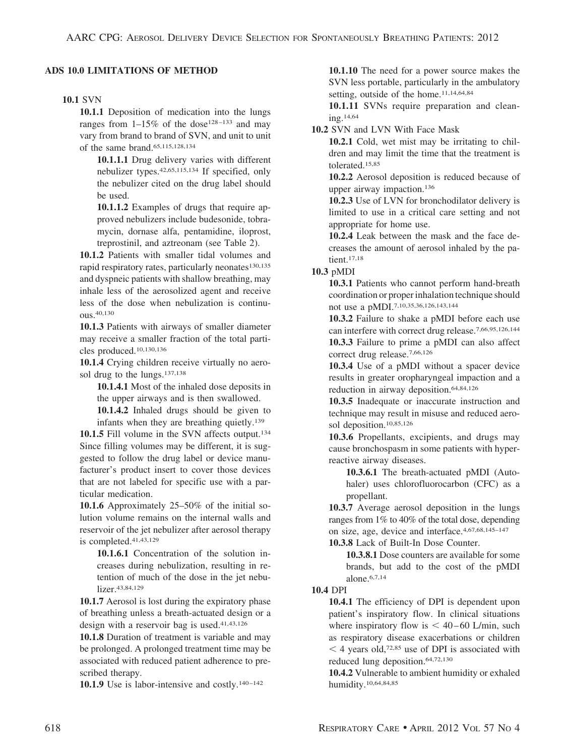#### **ADS 10.0 LIMITATIONS OF METHOD**

#### **10.1** SVN

**10.1.1** Deposition of medication into the lungs ranges from  $1-15\%$  of the dose<sup>128-133</sup> and may vary from brand to brand of SVN, and unit to unit of the same brand.65,115,128,134

**10.1.1.1** Drug delivery varies with different nebulizer types.42,65,115,134 If specified, only the nebulizer cited on the drug label should be used.

**10.1.1.2** Examples of drugs that require approved nebulizers include budesonide, tobramycin, dornase alfa, pentamidine, iloprost, treprostinil, and aztreonam (see Table 2).

**10.1.2** Patients with smaller tidal volumes and rapid respiratory rates, particularly neonates $130,135$ and dyspneic patients with shallow breathing, may inhale less of the aerosolized agent and receive less of the dose when nebulization is continuous.40,130

**10.1.3** Patients with airways of smaller diameter may receive a smaller fraction of the total particles produced.10,130,136

**10.1.4** Crying children receive virtually no aerosol drug to the lungs.137,138

**10.1.4.1** Most of the inhaled dose deposits in the upper airways and is then swallowed.

**10.1.4.2** Inhaled drugs should be given to infants when they are breathing quietly.139

10.1.5 Fill volume in the SVN affects output.<sup>134</sup> Since filling volumes may be different, it is suggested to follow the drug label or device manufacturer's product insert to cover those devices that are not labeled for specific use with a particular medication.

**10.1.6** Approximately 25–50% of the initial solution volume remains on the internal walls and reservoir of the jet nebulizer after aerosol therapy is completed.41,43,129

**10.1.6.1** Concentration of the solution increases during nebulization, resulting in retention of much of the dose in the jet nebulizer.<sup>43,84,129</sup>

**10.1.7** Aerosol is lost during the expiratory phase of breathing unless a breath-actuated design or a design with a reservoir bag is used.41,43,126

**10.1.8** Duration of treatment is variable and may be prolonged. A prolonged treatment time may be associated with reduced patient adherence to prescribed therapy.

10.1.9 Use is labor-intensive and costly.<sup>140-142</sup>

**10.1.10** The need for a power source makes the SVN less portable, particularly in the ambulatory setting, outside of the home.<sup>11,14,64,84</sup>

**10.1.11** SVNs require preparation and cleaning.14,64

**10.2** SVN and LVN With Face Mask

**10.2.1** Cold, wet mist may be irritating to children and may limit the time that the treatment is tolerated.15,85

**10.2.2** Aerosol deposition is reduced because of upper airway impaction.136

**10.2.3** Use of LVN for bronchodilator delivery is limited to use in a critical care setting and not appropriate for home use.

**10.2.4** Leak between the mask and the face decreases the amount of aerosol inhaled by the patient.17,18

#### **10.3** pMDI

**10.3.1** Patients who cannot perform hand-breath coordination or proper inhalation technique should not use a pMDI.7,10,35,36,126,143,144

**10.3.2** Failure to shake a pMDI before each use can interfere with correct drug release.7,66,95,126,144 **10.3.3** Failure to prime a pMDI can also affect

correct drug release.7,66,126

**10.3.4** Use of a pMDI without a spacer device results in greater oropharyngeal impaction and a reduction in airway deposition.64,84,126

**10.3.5** Inadequate or inaccurate instruction and technique may result in misuse and reduced aerosol deposition.10,85,126

**10.3.6** Propellants, excipients, and drugs may cause bronchospasm in some patients with hyperreactive airway diseases.

**10.3.6.1** The breath-actuated pMDI (Autohaler) uses chlorofluorocarbon (CFC) as a propellant.

**10.3.7** Average aerosol deposition in the lungs ranges from 1% to 40% of the total dose, depending on size, age, device and interface.4,67,68,145–147

**10.3.8** Lack of Built-In Dose Counter.

**10.3.8.1** Dose counters are available for some brands, but add to the cost of the pMDI alone.6,7,14

#### **10.4** DPI

**10.4.1** The efficiency of DPI is dependent upon patient's inspiratory flow. In clinical situations where inspiratory flow is  $< 40-60$  L/min, such as respiratory disease exacerbations or children  $<$  4 years old,<sup>72,85</sup> use of DPI is associated with reduced lung deposition.64,72,130

**10.4.2** Vulnerable to ambient humidity or exhaled humidity.10,64,84,85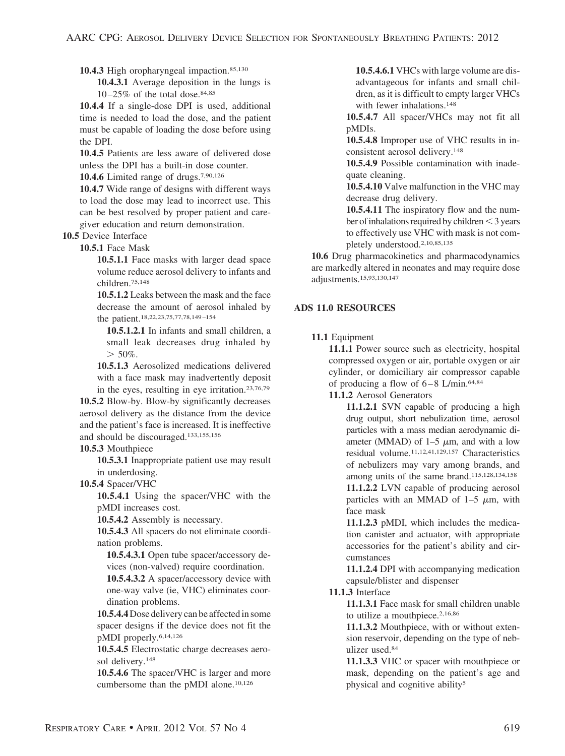10.4.3 High oropharyngeal impaction.<sup>85,130</sup>

**10.4.3.1** Average deposition in the lungs is  $10-25\%$  of the total dose.<sup>84,85</sup>

**10.4.4** If a single-dose DPI is used, additional time is needed to load the dose, and the patient must be capable of loading the dose before using the DPI.

**10.4.5** Patients are less aware of delivered dose unless the DPI has a built-in dose counter.

**10.4.6** Limited range of drugs.7,90,126

**10.4.7** Wide range of designs with different ways to load the dose may lead to incorrect use. This can be best resolved by proper patient and caregiver education and return demonstration.

**10.5** Device Interface

**10.5.1** Face Mask

**10.5.1.1** Face masks with larger dead space volume reduce aerosol delivery to infants and children.75,148

**10.5.1.2** Leaks between the mask and the face decrease the amount of aerosol inhaled by the patient.18,22,23,75,77,78,149 –154

**10.5.1.2.1** In infants and small children, a small leak decreases drug inhaled by  $> 50\%$ .

**10.5.1.3** Aerosolized medications delivered with a face mask may inadvertently deposit in the eyes, resulting in eye irritation.23,76,79

**10.5.2** Blow-by. Blow-by significantly decreases aerosol delivery as the distance from the device and the patient's face is increased. It is ineffective and should be discouraged.133,155,156

**10.5.3** Mouthpiece

**10.5.3.1** Inappropriate patient use may result in underdosing.

**10.5.4** Spacer/VHC

**10.5.4.1** Using the spacer/VHC with the pMDI increases cost.

**10.5.4.2** Assembly is necessary.

**10.5.4.3** All spacers do not eliminate coordination problems.

**10.5.4.3.1** Open tube spacer/accessory devices (non-valved) require coordination.

**10.5.4.3.2** A spacer/accessory device with one-way valve (ie, VHC) eliminates coordination problems.

**10.5.4.4**Dose delivery can be affected in some spacer designs if the device does not fit the pMDI properly.6,14,126

**10.5.4.5** Electrostatic charge decreases aerosol delivery.148

**10.5.4.6** The spacer/VHC is larger and more cumbersome than the pMDI alone.10,126

**10.5.4.6.1** VHCs with large volume are disadvantageous for infants and small children, as it is difficult to empty larger VHCs with fewer inhalations.<sup>148</sup>

**10.5.4.7** All spacer/VHCs may not fit all pMDIs.

**10.5.4.8** Improper use of VHC results in inconsistent aerosol delivery.148

**10.5.4.9** Possible contamination with inadequate cleaning.

**10.5.4.10** Valve malfunction in the VHC may decrease drug delivery.

**10.5.4.11** The inspiratory flow and the number of inhalations required by children $<$ 3 years to effectively use VHC with mask is not completely understood.2,10,85,135

**10.6** Drug pharmacokinetics and pharmacodynamics are markedly altered in neonates and may require dose adjustments.15,93,130,147

# **ADS 11.0 RESOURCES**

**11.1** Equipment

**11.1.1** Power source such as electricity, hospital compressed oxygen or air, portable oxygen or air cylinder, or domiciliary air compressor capable of producing a flow of  $6-8$  L/min.<sup>64,84</sup>

**11.1.2** Aerosol Generators

**11.1.2.1** SVN capable of producing a high drug output, short nebulization time, aerosol particles with a mass median aerodynamic diameter (MMAD) of  $1-5 \mu m$ , and with a low residual volume.11,12,41,129,157 Characteristics of nebulizers may vary among brands, and among units of the same brand.115,128,134,158

**11.1.2.2** LVN capable of producing aerosol particles with an MMAD of  $1-5 \mu m$ , with face mask

**11.1.2.3** pMDI, which includes the medication canister and actuator, with appropriate accessories for the patient's ability and circumstances

**11.1.2.4** DPI with accompanying medication capsule/blister and dispenser

#### **11.1.3** Interface

**11.1.3.1** Face mask for small children unable to utilize a mouthpiece.<sup>2,16,86</sup>

**11.1.3.2** Mouthpiece, with or without extension reservoir, depending on the type of nebulizer used.84

**11.1.3.3** VHC or spacer with mouthpiece or mask, depending on the patient's age and physical and cognitive ability5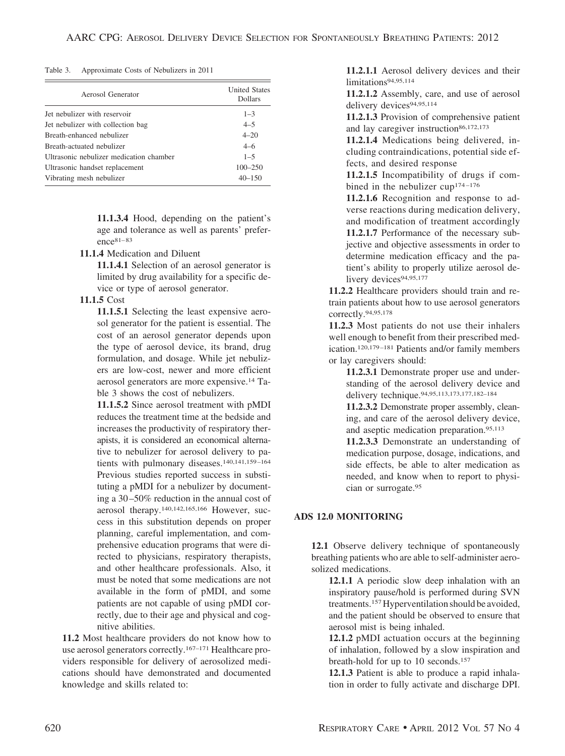#### Table 3. Approximate Costs of Nebulizers in 2011

| Aerosol Generator                       | <b>United States</b><br><b>Dollars</b> |
|-----------------------------------------|----------------------------------------|
| Jet nebulizer with reservoir            | $1 - 3$                                |
| Jet nebulizer with collection bag       | $4 - 5$                                |
| Breath-enhanced nebulizer               | $4 - 20$                               |
| Breath-actuated nebulizer               | $4 - 6$                                |
| Ultrasonic nebulizer medication chamber | $1 - 5$                                |
| Ultrasonic handset replacement          | $100 - 250$                            |
| Vibrating mesh nebulizer                | $40 - 150$                             |

**11.1.3.4** Hood, depending on the patient's age and tolerance as well as parents' preference<sup>81-83</sup>

**11.1.4** Medication and Diluent

**11.1.4.1** Selection of an aerosol generator is limited by drug availability for a specific device or type of aerosol generator.

#### **11.1.5** Cost

**11.1.5.1** Selecting the least expensive aerosol generator for the patient is essential. The cost of an aerosol generator depends upon the type of aerosol device, its brand, drug formulation, and dosage. While jet nebulizers are low-cost, newer and more efficient aerosol generators are more expensive.14 Table 3 shows the cost of nebulizers.

**11.1.5.2** Since aerosol treatment with pMDI reduces the treatment time at the bedside and increases the productivity of respiratory therapists, it is considered an economical alternative to nebulizer for aerosol delivery to patients with pulmonary diseases.<sup>140,141,159-164</sup> Previous studies reported success in substituting a pMDI for a nebulizer by documenting a 30 –50% reduction in the annual cost of aerosol therapy.140,142,165,166 However, success in this substitution depends on proper planning, careful implementation, and comprehensive education programs that were directed to physicians, respiratory therapists, and other healthcare professionals. Also, it must be noted that some medications are not available in the form of pMDI, and some patients are not capable of using pMDI correctly, due to their age and physical and cognitive abilities.

**11.2** Most healthcare providers do not know how to use aerosol generators correctly.<sup>167–171</sup> Healthcare providers responsible for delivery of aerosolized medications should have demonstrated and documented knowledge and skills related to:

**11.2.1.1** Aerosol delivery devices and their limitations94,95,114

**11.2.1.2** Assembly, care, and use of aerosol delivery devices<sup>94,95,114</sup>

**11.2.1.3** Provision of comprehensive patient and lay caregiver instruction<sup>86,172,173</sup>

**11.2.1.4** Medications being delivered, including contraindications, potential side effects, and desired response

**11.2.1.5** Incompatibility of drugs if combined in the nebulizer cup<sup>174-176</sup>

**11.2.1.6** Recognition and response to adverse reactions during medication delivery, and modification of treatment accordingly **11.2.1.7** Performance of the necessary subjective and objective assessments in order to determine medication efficacy and the patient's ability to properly utilize aerosol delivery devices<sup>94,95,177</sup>

**11.2.2** Healthcare providers should train and retrain patients about how to use aerosol generators correctly.94,95,178

**11.2.3** Most patients do not use their inhalers well enough to benefit from their prescribed medication.120,179 –181 Patients and/or family members or lay caregivers should:

**11.2.3.1** Demonstrate proper use and understanding of the aerosol delivery device and delivery technique.94,95,113,173,177,182–184

**11.2.3.2** Demonstrate proper assembly, cleaning, and care of the aerosol delivery device, and aseptic medication preparation.<sup>95,113</sup>

**11.2.3.3** Demonstrate an understanding of medication purpose, dosage, indications, and side effects, be able to alter medication as needed, and know when to report to physician or surrogate.95

#### **ADS 12.0 MONITORING**

**12.1** Observe delivery technique of spontaneously breathing patients who are able to self-administer aerosolized medications.

**12.1.1** A periodic slow deep inhalation with an inspiratory pause/hold is performed during SVN treatments.157Hyperventilation should be avoided, and the patient should be observed to ensure that aerosol mist is being inhaled.

**12.1.2** pMDI actuation occurs at the beginning of inhalation, followed by a slow inspiration and breath-hold for up to 10 seconds.157

**12.1.3** Patient is able to produce a rapid inhalation in order to fully activate and discharge DPI.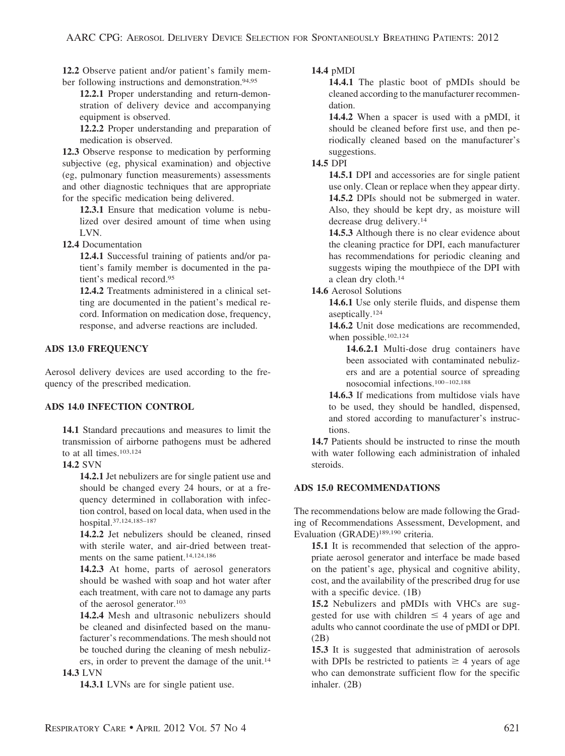**12.2** Observe patient and/or patient's family member following instructions and demonstration.<sup>94,95</sup>

**12.2.1** Proper understanding and return-demonstration of delivery device and accompanying equipment is observed.

**12.2.2** Proper understanding and preparation of medication is observed.

**12.3** Observe response to medication by performing subjective (eg, physical examination) and objective (eg, pulmonary function measurements) assessments and other diagnostic techniques that are appropriate for the specific medication being delivered.

**12.3.1** Ensure that medication volume is nebulized over desired amount of time when using LVN.

**12.4** Documentation

**12.4.1** Successful training of patients and/or patient's family member is documented in the patient's medical record.95

**12.4.2** Treatments administered in a clinical setting are documented in the patient's medical record. Information on medication dose, frequency, response, and adverse reactions are included.

# **ADS 13.0 FREQUENCY**

Aerosol delivery devices are used according to the frequency of the prescribed medication.

# **ADS 14.0 INFECTION CONTROL**

**14.1** Standard precautions and measures to limit the transmission of airborne pathogens must be adhered to at all times.<sup>103,124</sup>

# **14.2** SVN

**14.2.1** Jet nebulizers are for single patient use and should be changed every 24 hours, or at a frequency determined in collaboration with infection control, based on local data, when used in the hospital.37,124,185–187

**14.2.2** Jet nebulizers should be cleaned, rinsed with sterile water, and air-dried between treatments on the same patient.14,124,186

**14.2.3** At home, parts of aerosol generators should be washed with soap and hot water after each treatment, with care not to damage any parts of the aerosol generator.103

**14.2.4** Mesh and ultrasonic nebulizers should be cleaned and disinfected based on the manufacturer's recommendations. The mesh should not be touched during the cleaning of mesh nebulizers, in order to prevent the damage of the unit.14

# **14.3** LVN

**14.3.1** LVNs are for single patient use.

# **14.4** pMDI

**14.4.1** The plastic boot of pMDIs should be cleaned according to the manufacturer recommendation.

**14.4.2** When a spacer is used with a pMDI, it should be cleaned before first use, and then periodically cleaned based on the manufacturer's suggestions.

# **14.5** DPI

**14.5.1** DPI and accessories are for single patient use only. Clean or replace when they appear dirty. **14.5.2** DPIs should not be submerged in water. Also, they should be kept dry, as moisture will decrease drug delivery.14

**14.5.3** Although there is no clear evidence about the cleaning practice for DPI, each manufacturer has recommendations for periodic cleaning and suggests wiping the mouthpiece of the DPI with a clean dry cloth.14

**14.6** Aerosol Solutions

**14.6.1** Use only sterile fluids, and dispense them aseptically.124

**14.6.2** Unit dose medications are recommended, when possible.<sup>102,124</sup>

**14.6.2.1** Multi-dose drug containers have been associated with contaminated nebulizers and are a potential source of spreading nosocomial infections.100 –102,188

**14.6.3** If medications from multidose vials have to be used, they should be handled, dispensed, and stored according to manufacturer's instructions.

**14.7** Patients should be instructed to rinse the mouth with water following each administration of inhaled steroids.

# **ADS 15.0 RECOMMENDATIONS**

The recommendations below are made following the Grading of Recommendations Assessment, Development, and Evaluation (GRADE)189,190 criteria.

**15.1** It is recommended that selection of the appropriate aerosol generator and interface be made based on the patient's age, physical and cognitive ability, cost, and the availability of the prescribed drug for use with a specific device. (1B)

**15.2** Nebulizers and pMDIs with VHCs are suggested for use with children  $\leq 4$  years of age and adults who cannot coordinate the use of pMDI or DPI. (2B)

**15.3** It is suggested that administration of aerosols with DPIs be restricted to patients  $\geq 4$  years of age who can demonstrate sufficient flow for the specific inhaler. (2B)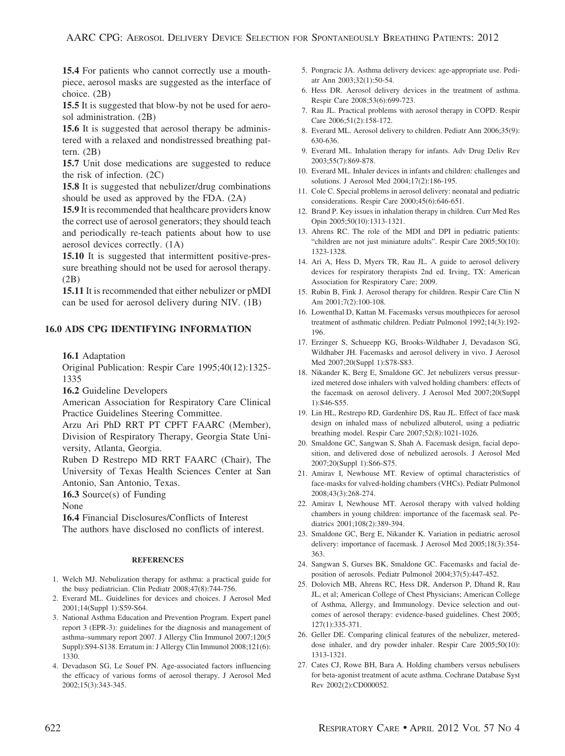**15.4** For patients who cannot correctly use a mouthpiece, aerosol masks are suggested as the interface of choice. (2B)

**15.5** It is suggested that blow-by not be used for aerosol administration. (2B)

**15.6** It is suggested that aerosol therapy be administered with a relaxed and nondistressed breathing pattern.  $(2B)$ 

**15.7** Unit dose medications are suggested to reduce the risk of infection. (2C)

**15.8** It is suggested that nebulizer/drug combinations should be used as approved by the FDA. (2A)

**15.9** It is recommended that healthcare providers know the correct use of aerosol generators; they should teach and periodically re-teach patients about how to use aerosol devices correctly. (1A)

**15.10** It is suggested that intermittent positive-pressure breathing should not be used for aerosol therapy. (2B)

**15.11** It is recommended that either nebulizer or pMDI can be used for aerosol delivery during NIV. (1B)

### **16.0 ADS CPG IDENTIFYING INFORMATION**

**16.1** Adaptation

Original Publication: Respir Care 1995;40(12):1325- 1335

**16.2** Guideline Developers

American Association for Respiratory Care Clinical Practice Guidelines Steering Committee.

Arzu Ari PhD RRT PT CPFT FAARC (Member), Division of Respiratory Therapy, Georgia State University, Atlanta, Georgia.

Ruben D Restrepo MD RRT FAARC (Chair), The University of Texas Health Sciences Center at San Antonio, San Antonio, Texas.

**16.3** Source(s) of Funding

None

**16.4** Financial Disclosures/Conflicts of Interest The authors have disclosed no conflicts of interest.

#### **REFERENCES**

- 1. Welch MJ. Nebulization therapy for asthma: a practical guide for the busy pediatrician. Clin Pediatr 2008;47(8):744-756.
- 2. Everard ML. Guidelines for devices and choices. J Aerosol Med 2001;14(Suppl 1):S59-S64.
- 3. National Asthma Education and Prevention Program. Expert panel report 3 (EPR-3): guidelines for the diagnosis and management of asthma–summary report 2007. J Allergy Clin Immunol 2007;120(5 Suppl):S94-S138. Erratum in: J Allergy Clin Immunol 2008;121(6): 1330.
- 4. Devadason SG, Le Souef PN. Age-associated factors influencing the efficacy of various forms of aerosol therapy. J Aerosol Med 2002;15(3):343-345.
- 5. Pongracic JA. Asthma delivery devices: age-appropriate use. Pediatr Ann 2003;32(1):50-54.
- 6. Hess DR. Aerosol delivery devices in the treatment of asthma. Respir Care 2008;53(6):699-723.
- 7. Rau JL. Practical problems with aerosol therapy in COPD. Respir Care 2006;51(2):158-172.
- 8. Everard ML. Aerosol delivery to children. Pediatr Ann 2006;35(9): 630-636.
- 9. Everard ML. Inhalation therapy for infants. Adv Drug Deliv Rev 2003;55(7):869-878.
- 10. Everard ML. Inhaler devices in infants and children: challenges and solutions. J Aerosol Med 2004;17(2):186-195.
- 11. Cole C. Special problems in aerosol delivery: neonatal and pediatric considerations. Respir Care 2000;45(6):646-651.
- 12. Brand P. Key issues in inhalation therapy in children. Curr Med Res Opin 2005;50(10):1313-1321.
- 13. Ahrens RC. The role of the MDI and DPI in pediatric patients: "children are not just miniature adults". Respir Care 2005;50(10): 1323-1328.
- 14. Ari A, Hess D, Myers TR, Rau JL. A guide to aerosol delivery devices for respiratory therapists 2nd ed. Irving, TX: American Association for Respiratory Care; 2009.
- 15. Rubin B, Fink J. Aerosol therapy for children. Respir Care Clin N Am 2001;7(2):100-108.
- 16. Lowenthal D, Kattan M. Facemasks versus mouthpieces for aerosol treatment of asthmatic children. Pediatr Pulmonol 1992;14(3):192- 196.
- 17. Erzinger S, Schueepp KG, Brooks-Wildhaber J, Devadason SG, Wildhaber JH. Facemasks and aerosol delivery in vivo. J Aerosol Med 2007;20(Suppl 1):S78-S83.
- 18. Nikander K, Berg E, Smaldone GC. Jet nebulizers versus pressurized metered dose inhalers with valved holding chambers: effects of the facemask on aerosol delivery. J Aerosol Med 2007;20(Suppl 1):S46-S55.
- 19. Lin HL, Restrepo RD, Gardenhire DS, Rau JL. Effect of face mask design on inhaled mass of nebulized albuterol, using a pediatric breathing model. Respir Care 2007;52(8):1021-1026.
- 20. Smaldone GC, Sangwan S, Shah A. Facemask design, facial deposition, and delivered dose of nebulized aerosols. J Aerosol Med 2007;20(Suppl 1):S66-S75.
- 21. Amirav I, Newhouse MT. Review of optimal characteristics of face-masks for valved-holding chambers (VHCs). Pediatr Pulmonol 2008;43(3):268-274.
- 22. Amirav I, Newhouse MT. Aerosol therapy with valved holding chambers in young children: importance of the facemask seal. Pediatrics 2001;108(2):389-394.
- 23. Smaldone GC, Berg E, Nikander K. Variation in pediatric aerosol delivery: importance of facemask. J Aerosol Med 2005;18(3):354- 363.
- 24. Sangwan S, Gurses BK, Smaldone GC. Facemasks and facial deposition of aerosols. Pediatr Pulmonol 2004;37(5):447-452.
- 25. Dolovich MB, Ahrens RC, Hess DR, Anderson P, Dhand R, Rau JL, et al; American College of Chest Physicians; American College of Asthma, Allergy, and Immunology. Device selection and outcomes of aerosol therapy: evidence-based guidelines. Chest 2005; 127(1):335-371.
- 26. Geller DE. Comparing clinical features of the nebulizer, metereddose inhaler, and dry powder inhaler. Respir Care 2005;50(10): 1313-1321.
- 27. Cates CJ, Rowe BH, Bara A. Holding chambers versus nebulisers for beta-agonist treatment of acute asthma. Cochrane Database Syst Rev 2002(2):CD000052.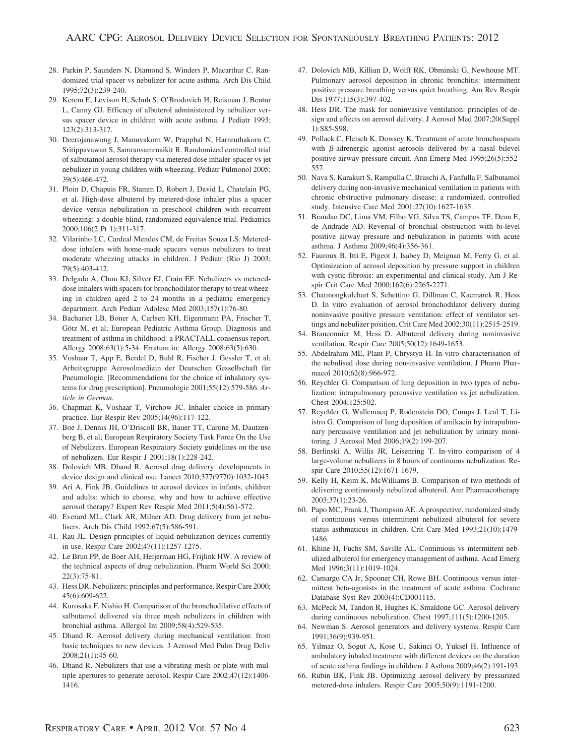- 28. Parkin P, Saunders N, Diamond S, Winders P, Macarthur C. Randomized trial spacer vs nebulizer for acute asthma. Arch Dis Child 1995;72(3):239-240.
- 29. Kerem E, Levison H, Schuh S, O'Brodovich H, Reisman J, Bentur L, Canny GJ. Efficacy of albuterol administered by nebulizer versus spacer device in children with acute asthma. J Pediatr 1993; 123(2):313-317.
- 30. Deerojanawong J, Manuvakorn W, Prapphal N, Harnruthakorn C, Sritippavawan S, Samransamruaikit R. Randomized controlled trial of salbutamol aerosol therapy via metered dose inhaler-spacer vs jet nebulizer in young children with wheezing. Pediatr Pulmonol 2005; 39(5):466-472.
- 31. Ploin D, Chapuis FR, Stamm D, Robert J, David L, Chatelain PG, et al. High-dose albuterol by metered-dose inhaler plus a spacer device versus nebulization in preschool children with recurrent wheezing: a double-blind, randomized equivalence trial. Pediatrics 2000;106(2 Pt 1):311-317.
- 32. Vilarinho LC, Cardeal Mendes CM, de Freitas Souza LS. Metereddose inhalers with home-made spacers versus nebulizers to treat moderate wheezing attacks in children. J Pediatr (Rio J) 2003; 79(5):403-412.
- 33. Delgado A, Chou KJ, Silver EJ, Crain EF. Nebulizers vs metereddose inhalers with spacers for bronchodilator therapy to treat wheezing in children aged 2 to 24 months in a pediatric emergency department. Arch Pediatr Adolesc Med 2003;157(1):76-80.
- 34. Bacharier LB, Boner A, Carlsen KH, Eigenmann PA, Frischer T, Götz M, et al; European Pediatric Asthma Group. Diagnosis and treatment of asthma in childhood: a PRACTALL consensus report. Allergy 2008;63(1):5-34. Erratum in: Allergy 2008;63(5):630.
- 35. Voshaar T, App E, Berdel D, Buhl R, Fischer J, Gessler T, et al; Arbeitsgruppe Aerosolmedizin der Deutschen Gessellschaft für Pneumologie. [Recommendations for the choice of inhalatory systems for drug prescription]. Pneumologie 2001;55(12):579-586. *Article in German.*
- 36. Chapman K, Voshaar T, Virchow JC. Inhaler choice in primary practice. Eur Respir Rev 2005;14(96):117-122.
- 37. Boe J, Dennis JH, O'Driscoll BR, Bauer TT, Carone M, Dautzenberg B, et al; European Respiratory Society Task Force On the Use of Nebulizers. European Respiratory Society guidelines on the use of nebulizers. Eur Respir J 2001;18(1):228-242.
- 38. Dolovich MB, Dhand R. Aerosol drug delivery: developments in device design and clinical use. Lancet 2010;377(9770):1032-1045.
- 39. Ari A, Fink JB. Guidelines to aerosol devices in infants, children and adults: which to choose, why and how to achieve effective aerosol therapy? Expert Rev Respir Med 2011;5(4):561-572.
- 40. Everard ML, Clark AR, Milner AD. Drug delivery from jet nebulisers. Arch Dis Child 1992;67(5):586-591.
- 41. Rau JL. Design principles of liquid nebulization devices currently in use. Respir Care 2002;47(11):1257-1275.
- 42. Le Brun PP, de Boer AH, Heijerman HG, Frijlink HW. A review of the technical aspects of drug nebulization. Pharm World Sci 2000; 22(3):75-81.
- 43. Hess DR. Nebulizers: principles and performance. Respir Care 2000; 45(6):609-622.
- 44. Kurosaka F, Nishio H. Comparison of the bronchodilative effects of salbutamol delivered via three mesh nebulizers in children with bronchial asthma. Allergol Int 2009;58(4):529-535.
- 45. Dhand R. Aerosol delivery during mechanical ventilation: from basic techniques to new devices. J Aerosol Med Pulm Drug Deliv 2008;21(1):45-60.
- 46. Dhand R. Nebulizers that use a vibrating mesh or plate with multiple apertures to generate aerosol. Respir Care 2002;47(12):1406- 1416.
- 47. Dolovich MB, Killian D, Wolff RK, Obminski G, Newhouse MT. Pulmonary aerosol deposition in chronic bronchitis: intermittent positive pressure breathing versus quiet breathing. Am Rev Respir Dis 1977;115(3):397-402.
- 48. Hess DR. The mask for noninvasive ventilation: principles of design and effects on aerosol delivery. J Aerosol Med 2007;20(Suppl 1):S85-S98.
- 49. Pollack C, Fleisch K, Dowsey K. Treatment of acute bronchospasm with  $\beta$ -adrenergic agonist aerosols delivered by a nasal bilevel positive airway pressure circuit. Ann Emerg Med 1995;26(5):552- 557.
- 50. Nava S, Karakurt S, Rampulla C, Braschi A, Fanfulla F. Salbutamol delivery during non-invasive mechanical ventilation in patients with chronic obstructive pulmonary disease: a randomized, controlled study. Intensive Care Med 2001;27(10):1627-1635.
- 51. Brandao DC, Lima VM, Filho VG, Silva TS, Campos TF, Dean E, de Andrade AD. Reversal of bronchial obstruction with bi-level positive airway pressure and nebulization in patients with acute asthma. J Asthma 2009;46(4):356-361.
- 52. Fauroux B, Itti E, Pigeot J, Isabey D, Meignan M, Ferry G, et al. Optimization of aerosol deposition by pressure support in children with cystic fibrosis: an experimental and clinical study. Am J Respir Crit Care Med 2000;162(6):2265-2271.
- 53. Chatmongkolchart S, Schettino G, Dillman C, Kacmarek R, Hess D. In vitro evaluation of aerosol bronchodilator delivery during noninvasive positive pressure ventilation: effect of ventilator settings and nebulizer position. Crit Care Med 2002;30(11):2515-2519.
- 54. Branconnier M, Hess D. Albuterol delivery during noninvasive ventilation. Respir Care 2005;50(12):1649-1653.
- 55. Abdelrahim ME, Plant P, Chrystyn H. In-vitro characterisation of the nebulised dose during non-invasive ventilation. J Pharm Pharmacol 2010;62(8):966-972.
- 56. Reychler G. Comparison of lung deposition in two types of nebulization: intrapulmonary percussive ventilation vs jet nebulization. Chest 2004;125:502.
- 57. Reychler G, Wallemacq P, Rodenstein DO, Cumps J, Leal T, Liistro G. Comparison of lung deposition of amikacin by intrapulmonary percussive ventilation and jet nebulization by urinary monitoring. J Aerosol Med 2006;19(2):199-207.
- 58. Berlinski A, Willis JR, Leisenring T. In-vitro comparison of 4 large-volume nebulizers in 8 hours of continuous nebulization. Respir Care 2010;55(12):1671-1679.
- 59. Kelly H, Keim K, McWilliams B. Comparison of two methods of delivering continuously nebulized albuterol. Ann Pharmacotherapy 2003;37(1):23-26.
- 60. Papo MC, Frank J, Thompson AE. A prospective, randomized study of continuous versus intermittent nebulized albuterol for severe status asthmaticus in children. Crit Care Med 1993;21(10):1479- 1486.
- 61. Khine H, Fuchs SM, Saville AL. Continuous vs intermittent nebulized albuterol for emergency management of asthma. Acad Emerg Med 1996;3(11):1019-1024.
- 62. Camargo CA Jr, Spooner CH, Rowe BH. Continuous versus intermittent beta-agonists in the treatment of acute asthma. Cochrane Database Syst Rev 2003(4):CD001115.
- 63. McPeck M, Tandon R, Hughes K, Smaldone GC. Aerosol delivery during continuous nebulization. Chest 1997;111(5):1200-1205.
- 64. Newman S. Aerosol generators and delivery systems. Respir Care 1991;36(9):939-951.
- 65. Yilmaz O, Sogut A, Kose U, Sakinci O, Yuksel H. Influence of ambulatory inhaled treatment with different devices on the duration of acute asthma findings in children. J Asthma 2009;46(2):191-193.
- 66. Rubin BK, Fink JB. Optimizing aerosol delivery by pressurized metered-dose inhalers. Respir Care 2005;50(9):1191-1200.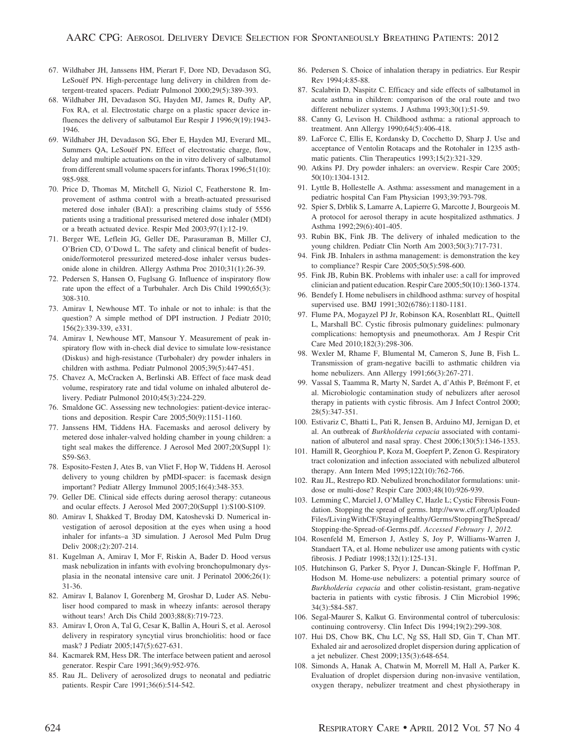- 67. Wildhaber JH, Janssens HM, Pierart F, Dore ND, Devadason SG, LeSouëf PN. High-percentage lung delivery in children from detergent-treated spacers. Pediatr Pulmonol 2000;29(5):389-393.
- 68. Wildhaber JH, Devadason SG, Hayden MJ, James R, Dufty AP, Fox RA, et al. Electrostatic charge on a plastic spacer device influences the delivery of salbutamol Eur Respir J 1996;9(19):1943- 1946.
- 69. Wildhaber JH, Devadason SG, Eber E, Hayden MJ, Everard ML, Summers QA, LeSouef PN. Effect of electrostatic charge, flow, delay and multiple actuations on the in vitro delivery of salbutamol from different small volume spacers for infants. Thorax 1996;51(10): 985-988.
- 70. Price D, Thomas M, Mitchell G, Niziol C, Featherstone R. Improvement of asthma control with a breath-actuated pressurised metered dose inhaler (BAI): a prescribing claims study of 5556 patients using a traditional pressurised metered dose inhaler (MDI) or a breath actuated device. Respir Med 2003;97(1):12-19.
- 71. Berger WE, Leflein JG, Geller DE, Parasuraman B, Miller CJ, O'Brien CD, O'Dowd L. The safety and clinical benefit of budesonide/formoterol pressurized metered-dose inhaler versus budesonide alone in children. Allergy Asthma Proc 2010;31(1):26-39.
- 72. Pedersen S, Hansen O, Fuglsang G. Influence of inspiratory flow rate upon the effect of a Turbuhaler. Arch Dis Child 1990;65(3): 308-310.
- 73. Amirav I, Newhouse MT. To inhale or not to inhale: is that the question? A simple method of DPI instruction. J Pediatr 2010; 156(2):339-339, e331.
- 74. Amirav I, Newhouse MT, Mansour Y. Measurement of peak inspiratory flow with in-check dial device to simulate low-resistance (Diskus) and high-resistance (Turbohaler) dry powder inhalers in children with asthma. Pediatr Pulmonol 2005;39(5):447-451.
- 75. Chavez A, McCracken A, Berlinski AB. Effect of face mask dead volume, respiratory rate and tidal volume on inhaled albuterol delivery. Pediatr Pulmonol 2010;45(3):224-229.
- 76. Smaldone GC. Assessing new technologies: patient-device interactions and deposition. Respir Care 2005;50(9):1151-1160.
- 77. Janssens HM, Tiddens HA. Facemasks and aerosol delivery by metered dose inhaler-valved holding chamber in young children: a tight seal makes the difference. J Aerosol Med 2007;20(Suppl 1): S59-S63.
- 78. Esposito-Festen J, Ates B, van Vliet F, Hop W, Tiddens H. Aerosol delivery to young children by pMDI-spacer: is facemask design important? Pediatr Allergy Immunol 2005;16(4):348-353.
- 79. Geller DE. Clinical side effects during aerosol therapy: cutaneous and ocular effects. J Aerosol Med 2007;20(Suppl 1):S100-S109.
- 80. Amirav I, Shakked T, Broday DM, Katoshevski D. Numerical investigation of aerosol deposition at the eyes when using a hood inhaler for infants–a 3D simulation. J Aerosol Med Pulm Drug Deliv 2008;(2):207-214.
- 81. Kugelman A, Amirav I, Mor F, Riskin A, Bader D. Hood versus mask nebulization in infants with evolving bronchopulmonary dysplasia in the neonatal intensive care unit. J Perinatol 2006;26(1): 31-36.
- 82. Amirav I, Balanov I, Gorenberg M, Groshar D, Luder AS. Nebuliser hood compared to mask in wheezy infants: aerosol therapy without tears! Arch Dis Child 2003;88(8):719-723.
- 83. Amirav I, Oron A, Tal G, Cesar K, Ballin A, Houri S, et al. Aerosol delivery in respiratory syncytial virus bronchiolitis: hood or face mask? J Pediatr 2005;147(5):627-631.
- 84. Kacmarek RM, Hess DR. The interface between patient and aerosol generator. Respir Care 1991;36(9):952-976.
- 85. Rau JL. Delivery of aerosolized drugs to neonatal and pediatric patients. Respir Care 1991;36(6):514-542.
- 86. Pedersen S. Choice of inhalation therapy in pediatrics. Eur Respir Rev 1994;4:85-88.
- 87. Scalabrin D, Naspitz C. Efficacy and side effects of salbutamol in acute asthma in children: comparison of the oral route and two different nebulizer systems. J Asthma 1993;30(1):51-59.
- 88. Canny G, Levison H. Childhood asthma: a rational approach to treatment. Ann Allergy 1990;64(5):406-418.
- 89. LaForce C, Ellis E, Kordansky D, Cocchetto D, Sharp J. Use and acceptance of Ventolin Rotacaps and the Rotohaler in 1235 asthmatic patients. Clin Therapeutics 1993;15(2):321-329.
- 90. Atkins PJ. Dry powder inhalers: an overview. Respir Care 2005; 50(10):1304-1312.
- 91. Lyttle B, Hollestelle A. Asthma: assessment and management in a pediatric hospital Can Fam Physician 1993;39:793-798.
- 92. Spier S, Drblik S, Lamarre A, Lapierre G, Marcotte J, Bourgeois M. A protocol for aerosol therapy in acute hospitalized asthmatics. J Asthma 1992;29(6):401-405.
- 93. Rubin BK, Fink JB. The delivery of inhaled medication to the young children. Pediatr Clin North Am 2003;50(3):717-731.
- 94. Fink JB. Inhalers in asthma management: is demonstration the key to compliance? Respir Care 2005;50(5):598-600.
- 95. Fink JB, Rubin BK. Problems with inhaler use: a call for improved clinician and patient education. Respir Care 2005;50(10):1360-1374.
- 96. Bendefy I. Home nebulisers in childhood asthma: survey of hospital supervised use. BMJ 1991;302(6786):1180-1181.
- 97. Flume PA, Mogayzel PJ Jr, Robinson KA, Rosenblatt RL, Quittell L, Marshall BC. Cystic fibrosis pulmonary guidelines: pulmonary complications: hemoptysis and pneumothorax. Am J Respir Crit Care Med 2010;182(3):298-306.
- 98. Wexler M, Rhame F, Blumental M, Cameron S, June B, Fish L. Transmission of gram-negative bacilli to asthmatic children via home nebulizers. Ann Allergy 1991;66(3):267-271.
- 99. Vassal S, Taamma R, Marty N, Sardet A, d'Athis P, Brémont F, et al. Microbiologic contamination study of nebulizers after aerosol therapy in patients with cystic fibrosis. Am J Infect Control 2000; 28(5):347-351.
- 100. Estivariz C, Bhatti L, Pati R, Jensen B, Arduino MJ, Jernigan D, et al. An outbreak of *Burkholderia cepacia* associated with contamination of albuterol and nasal spray. Chest 2006;130(5):1346-1353.
- 101. Hamill R, Georghiou P, Koza M, Goepfert P, Zenon G. Respiratory tract colonization and infection associated with nebulized albuterol therapy. Ann Intern Med 1995;122(10):762-766.
- 102. Rau JL, Restrepo RD. Nebulized bronchodilator formulations: unitdose or multi-dose? Respir Care 2003;48(10):926-939.
- 103. Lemming C, Marciel J, O'Malley C, Hazle L; Cystic Fibrosis Foundation. Stopping the spread of germs. http://www.cff.org/Uploaded Files/LivingWithCF/StayingHealthy/Germs/StoppingTheSpread/ Stopping-the-Spread-of-Germs.pdf. *Accessed February 1, 2012.*
- 104. Rosenfeld M, Emerson J, Astley S, Joy P, Williams-Warren J, Standaert TA, et al. Home nebulizer use among patients with cystic fibrosis. J Pediatr 1998;132(1):125-131.
- 105. Hutchinson G, Parker S, Pryor J, Duncan-Skingle F, Hoffman P, Hodson M. Home-use nebulizers: a potential primary source of *Burkholderia cepacia* and other colistin-resistant, gram-negative bacteria in patients with cystic fibrosis. J Clin Microbiol 1996; 34(3):584-587.
- 106. Segal-Maurer S, Kalkut G. Environmental control of tuberculosis: continuing controversy. Clin Infect Dis 1994;19(2):299-308.
- 107. Hui DS, Chow BK, Chu LC, Ng SS, Hall SD, Gin T, Chan MT. Exhaled air and aerosolized droplet dispersion during application of a jet nebulizer. Chest 2009;135(3):648-654.
- 108. Simonds A, Hanak A, Chatwin M, Morrell M, Hall A, Parker K. Evaluation of droplet dispersion during non-invasive ventilation, oxygen therapy, nebulizer treatment and chest physiotherapy in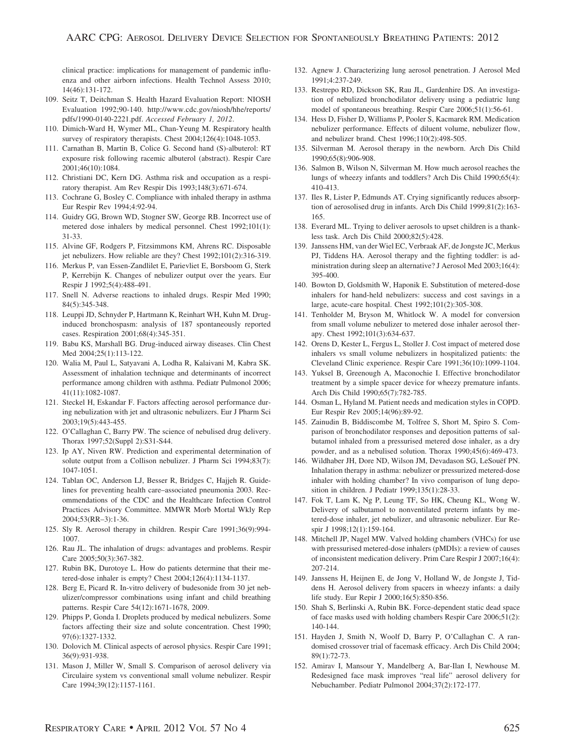clinical practice: implications for management of pandemic influenza and other airborn infections. Health Technol Assess 2010; 14(46):131-172.

- 109. Seitz T, Deitchman S. Health Hazard Evaluation Report: NIOSH Evaluation 1992;90-140. http://www.cdc.gov/niosh/hhe/reports/ pdfs/1990-0140-2221.pdf. *Accessed February 1, 2012*.
- 110. Dimich-Ward H, Wymer ML, Chan-Yeung M. Respiratory health survey of respiratory therapists. Chest 2004;126(4):1048-1053.
- 111. Carnathan B, Martin B, Colice G. Second hand (S)-albuterol: RT exposure risk following racemic albuterol (abstract). Respir Care 2001;46(10):1084.
- 112. Christiani DC, Kern DG. Asthma risk and occupation as a respiratory therapist. Am Rev Respir Dis 1993;148(3):671-674.
- 113. Cochrane G, Bosley C. Compliance with inhaled therapy in asthma Eur Respir Rev 1994;4:92-94.
- 114. Guidry GG, Brown WD, Stogner SW, George RB. Incorrect use of metered dose inhalers by medical personnel. Chest 1992;101(1): 31-33.
- 115. Alvine GF, Rodgers P, Fitzsimmons KM, Ahrens RC. Disposable jet nebulizers. How reliable are they? Chest 1992;101(2):316-319.
- 116. Merkus P, van Essen-Zandlilet E, Parievliet E, Borsboom G, Sterk P, Kerrebijn K. Changes of nebulizer output over the years. Eur Respir J 1992;5(4):488-491.
- 117. Snell N. Adverse reactions to inhaled drugs. Respir Med 1990; 84(5):345-348.
- 118. Leuppi JD, Schnyder P, Hartmann K, Reinhart WH, Kuhn M. Druginduced bronchospasm: analysis of 187 spontaneously reported cases. Respiration 2001;68(4):345-351.
- 119. Babu KS, Marshall BG. Drug-induced airway diseases. Clin Chest Med 2004;25(1):113-122.
- 120. Walia M, Paul L, Satyavani A, Lodha R, Kalaivani M, Kabra SK. Assessment of inhalation technique and determinants of incorrect performance among children with asthma. Pediatr Pulmonol 2006; 41(11):1082-1087.
- 121. Steckel H, Eskandar F. Factors affecting aerosol performance during nebulization with jet and ultrasonic nebulizers. Eur J Pharm Sci 2003;19(5):443-455.
- 122. O'Callaghan C, Barry PW. The science of nebulised drug delivery. Thorax 1997;52(Suppl 2):S31-S44.
- 123. Ip AY, Niven RW. Prediction and experimental determination of solute output from a Collison nebulizer. J Pharm Sci 1994;83(7): 1047-1051.
- 124. Tablan OC, Anderson LJ, Besser R, Bridges C, Hajjeh R. Guidelines for preventing health care–associated pneumonia 2003. Recommendations of the CDC and the Healthcare Infection Control Practices Advisory Committee. MMWR Morb Mortal Wkly Rep 2004;53(RR–3):1-36.
- 125. Sly R. Aerosol therapy in children. Respir Care 1991;36(9):994- 1007.
- 126. Rau JL. The inhalation of drugs: advantages and problems. Respir Care 2005;50(3):367-382.
- 127. Rubin BK, Durotoye L. How do patients determine that their metered-dose inhaler is empty? Chest 2004;126(4):1134-1137.
- 128. Berg E, Picard R. In-vitro delivery of budesonide from 30 jet nebulizer/compressor combinations using infant and child breathing patterns. Respir Care 54(12):1671-1678, 2009.
- 129. Phipps P, Gonda I. Droplets produced by medical nebulizers. Some factors affecting their size and solute concentration. Chest 1990; 97(6):1327-1332.
- 130. Dolovich M. Clinical aspects of aerosol physics. Respir Care 1991; 36(9):931-938.
- 131. Mason J, Miller W, Small S. Comparison of aerosol delivery via Circulaire system vs conventional small volume nebulizer. Respir Care 1994;39(12):1157-1161.
- 132. Agnew J. Characterizing lung aerosol penetration. J Aerosol Med 1991;4:237-249.
- 133. Restrepo RD, Dickson SK, Rau JL, Gardenhire DS. An investigation of nebulized bronchodilator delivery using a pediatric lung model of spontaneous breathing. Respir Care 2006;51(1):56-61.
- 134. Hess D, Fisher D, Williams P, Pooler S, Kacmarek RM. Medication nebulizer performance. Effects of diluent volume, nebulizer flow, and nebulizer brand. Chest 1996;110(2):498-505.
- 135. Silverman M. Aerosol therapy in the newborn. Arch Dis Child 1990;65(8):906-908.
- 136. Salmon B, Wilson N, Silverman M. How much aerosol reaches the lungs of wheezy infants and toddlers? Arch Dis Child 1990;65(4): 410-413.
- 137. Iles R, Lister P, Edmunds AT. Crying significantly reduces absorption of aerosolised drug in infants. Arch Dis Child 1999;81(2):163- 165.
- 138. Everard ML. Trying to deliver aerosols to upset children is a thankless task. Arch Dis Child 2000;82(5):428.
- 139. Janssens HM, van der Wiel EC, Verbraak AF, de Jongste JC, Merkus PJ, Tiddens HA. Aerosol therapy and the fighting toddler: is administration during sleep an alternative? J Aerosol Med 2003;16(4): 395-400.
- 140. Bowton D, Goldsmith W, Haponik E. Substitution of metered-dose inhalers for hand-held nebulizers: success and cost savings in a large, acute-care hospital. Chest 1992;101(2):305-308.
- 141. Tenholder M, Bryson M, Whitlock W. A model for conversion from small volume nebulizer to metered dose inhaler aerosol therapy. Chest 1992;101(3):634-637.
- 142. Orens D, Kester L, Fergus L, Stoller J. Cost impact of metered dose inhalers vs small volume nebulizers in hospitalized patients: the Cleveland Clinic experience. Respir Care 1991;36(10):1099-1104.
- 143. Yuksel B, Greenough A, Maconochie I. Effective bronchodilator treatment by a simple spacer device for wheezy premature infants. Arch Dis Child 1990;65(7):782-785.
- 144. Osman L, Hyland M. Patient needs and medication styles in COPD. Eur Respir Rev 2005;14(96):89-92.
- 145. Zainudin B, Biddiscombe M, Tolfree S, Short M, Spiro S. Comparison of bronchodilator responses and deposition patterns of salbutamol inhaled from a pressurised metered dose inhaler, as a dry powder, and as a nebulised solution. Thorax 1990;45(6):469-473.
- 146. Wildhaber JH, Dore ND, Wilson JM, Devadason SG, LeSouëf PN. Inhalation therapy in asthma: nebulizer or pressurized metered-dose inhaler with holding chamber? In vivo comparison of lung deposition in children. J Pediatr 1999;135(1):28-33.
- 147. Fok T, Lam K, Ng P, Leung TF, So HK, Cheung KL, Wong W. Delivery of salbutamol to nonventilated preterm infants by metered-dose inhaler, jet nebulizer, and ultrasonic nebulizer. Eur Respir J 1998;12(1):159-164.
- 148. Mitchell JP, Nagel MW. Valved holding chambers (VHCs) for use with pressurised metered-dose inhalers (pMDIs): a review of causes of inconsistent medication delivery. Prim Care Respir J 2007;16(4): 207-214.
- 149. Janssens H, Heijnen E, de Jong V, Holland W, de Jongste J, Tiddens H. Aerosol delivery from spacers in wheezy infants: a daily life study. Eur Repir J 2000;16(5):850-856.
- 150. Shah S, Berlinski A, Rubin BK. Force-dependent static dead space of face masks used with holding chambers Respir Care 2006;51(2): 140-144.
- 151. Hayden J, Smith N, Woolf D, Barry P, O'Callaghan C. A randomised crossover trial of facemask efficacy. Arch Dis Child 2004; 89(1):72-73.
- 152. Amirav I, Mansour Y, Mandelberg A, Bar-Ilan I, Newhouse M. Redesigned face mask improves "real life" aerosol delivery for Nebuchamber. Pediatr Pulmonol 2004;37(2):172-177.